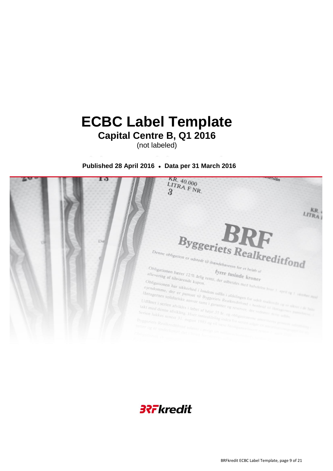# **ECBC Label Template Capital Centre B, Q1 2016**

(not labeled)

**Published 28 April 2016 ● Data per 31 March 2016**



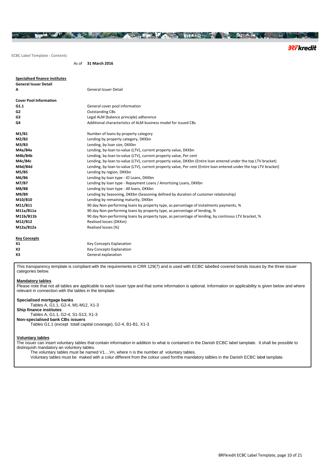**ECBC Label Template : Contents**

As of **31 March 2016**

| <b>Specialised finance institutes</b> |                                                                                                                   |
|---------------------------------------|-------------------------------------------------------------------------------------------------------------------|
| <b>General Issuer Detail</b>          |                                                                                                                   |
| А                                     | <b>General Issuer Detail</b>                                                                                      |
| <b>Cover Pool Information</b>         |                                                                                                                   |
| G1.1                                  | General cover pool information                                                                                    |
| G <sub>2</sub>                        | <b>Outstanding CBs</b>                                                                                            |
| G3                                    | Legal ALM (balance principle) adherence                                                                           |
| G4                                    | Additional characteristics of ALM business model for issued CBs                                                   |
| M1/B1                                 | Number of loans by property category                                                                              |
| M2/B2                                 | Lending by property category, DKKbn                                                                               |
| M3/B3                                 | Lending, by loan size, DKKbn                                                                                      |
| M4a/B4a                               | Lending, by-loan to-value (LTV), current property value, DKKbn                                                    |
| M4b/B4b                               | Lending, by-loan to-value (LTV), current property value, Per cent                                                 |
| M4c/B4c                               | Lending, by-loan to-value (LTV), current property value, DKKbn (Entire loan entered under the top LTV bracket)    |
| M4d/B4d                               | Lending, by-loan to-value (LTV), current property value, Per cent (Entire loan entered under the top LTV bracket) |
| M5/B5                                 | Lending by region, DKKbn                                                                                          |
| M6/B6                                 | Lending by loan type - IO Loans, DKKbn                                                                            |
| M7/B7                                 | Lending by loan type - Repayment Loans / Amortizing Loans, DKKbn                                                  |
| M8/B8                                 | Lending by loan type - All loans, DKKbn                                                                           |
| M9/B9                                 | Lending by Seasoning, DKKbn (Seasoning defined by duration of customer relationship)                              |
| M10/B10                               | Lending by remaining maturity, DKKbn                                                                              |
| M11/B11                               | 90 day Non-performing loans by property type, as percentage of instalments payments, %                            |
| M11a/B11a                             | 90 day Non-performing loans by property type, as percentage of lending, %                                         |
| M11b/B11b                             | 90 day Non-performing loans by property type, as percentage of lending, by continous LTV bracket, %               |
| M12/B12                               | Realised losses (DKKm)                                                                                            |
| M12a/B12a                             | Realised losses (%)                                                                                               |
| <b>Key Concepts</b>                   |                                                                                                                   |

HALLAND A STREET AND THE MAIN THAT THE REAL PROPERTY AND STREET

| X <sub>1</sub> | <b>Key Concepts Explanation</b> |
|----------------|---------------------------------|
| <b>X2</b>      | <b>Key Concepts Explanation</b> |
| X3             | General explanation             |

This transparency template is compliant with the requirements in CRR 129(7) and is used with ECBC labelled covered bonds issues by the three issuer categories below.

#### **Mandatory tables**

Please note that not all tables are applicable to each issuer type and that some information is optional. Information on applicability is given below and where relevant in connection with the tables in the template.

### **Specialised mortgage banks**

Tables A, G1.1, G2-4, M1-M12, X1-3 **Ship finance institutes** Tables A, G1.1, G2-4, S1-S13, X1-3 **Non-specialised bank CBs issuers** Tables G1.1 (except totall capital covarage), G2-4, B1-B1, X1-3

#### **Voluntary tables**

The issuer can insert voluntary tables that contain information in addition to what is contained in the Danish ECBC label tamplate. It shall be possible to distinquish mandatory an voluntory tables.

The voluntary tables must be named V1....Vn, where n is the number af voluntary tables.

Voluntary tables must be maked with a colur different from the colour used forrthe mandatory talbles in the Danish ECBC label tamplate.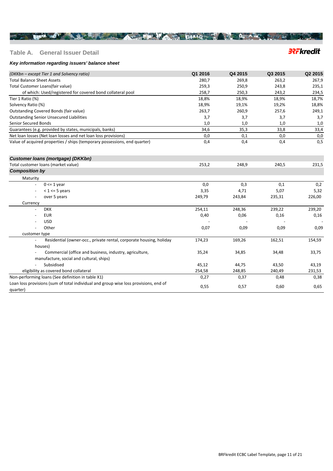### **Table A. General Issuer Detail**

# **3?Fkredit**

### *Key information regarding issuers' balance sheet*

| (DKKbn – except Tier 1 and Solvency ratio)                                                       | Q1 2016 | Q4 2015 | Q3 2015 | Q2 2015 |
|--------------------------------------------------------------------------------------------------|---------|---------|---------|---------|
| <b>Total Balance Sheet Assets</b>                                                                | 280,7   | 269,8   | 263,2   | 267,9   |
| Total Customer Loans(fair value)                                                                 | 259,3   | 250,9   | 243,8   | 235,1   |
| of which: Used/registered for covered bond collateral pool                                       | 258,7   | 250,3   | 243,2   | 234,5   |
| Tier 1 Ratio (%)                                                                                 | 18,8%   | 18,9%   | 18,9%   | 18,7%   |
| Solvency Ratio (%)                                                                               | 18,9%   | 19,1%   | 19,2%   | 18,8%   |
| Outstanding Covered Bonds (fair value)                                                           | 263,7   | 260,9   | 257,6   | 249,1   |
| <b>Outstanding Senior Unsecured Liabilities</b>                                                  | 3,7     | 3,7     | 3,7     | 3,7     |
| Senior Secured Bonds                                                                             | 1,0     | 1,0     | 1,0     | 1,0     |
| Guarantees (e.g. provided by states, municipals, banks)                                          | 34,6    | 35,3    | 33,8    | 33,4    |
| Net loan losses (Net loan losses and net loan loss provisions)                                   | 0,0     | 0,1     | 0,0     | 0,0     |
| Value of acquired properties / ships (temporary possessions, end quarter)                        | 0,4     | 0,4     | 0,4     | 0,5     |
| <b>Customer loans (mortgage) (DKKbn)</b>                                                         |         |         |         |         |
| Total customer loans (market value)                                                              | 253,2   | 248,9   | 240,5   | 231,5   |
| <b>Composition by</b>                                                                            |         |         |         |         |
| Maturity                                                                                         |         |         |         |         |
| $0 \leq 1$ year                                                                                  | 0,0     | 0,3     | 0,1     | 0,2     |
| $<$ 1 $<$ = 5 years                                                                              | 3,35    | 4,71    | 5,07    | 5,32    |
| over 5 years                                                                                     | 249,79  | 243,84  | 235,31  | 226,00  |
| Currency                                                                                         |         |         |         |         |
| <b>DKK</b>                                                                                       | 254,11  | 248,36  | 239,22  | 239,20  |
| <b>EUR</b>                                                                                       | 0,40    | 0,06    | 0,16    | 0,16    |
| <b>USD</b>                                                                                       |         |         |         |         |
| Other                                                                                            | 0,07    | 0,09    | 0,09    | 0,09    |
| customer type                                                                                    |         |         |         |         |
| Residential (owner-occ., private rental, corporate housing, holiday                              | 174,23  | 169,26  | 162,51  | 154,59  |
| houses)                                                                                          |         |         |         |         |
| Commercial (office and business, industry, agriculture,                                          | 35,24   | 34,85   | 34,48   | 33,75   |
| manufacture, social and cultural, ships)                                                         |         |         |         |         |
| Subsidised                                                                                       | 45,12   | 44,75   | 43,50   | 43,19   |
| eligibility as covered bond collateral                                                           | 254,58  | 248,85  | 240,49  | 231,53  |
| Non-performing loans (See definition in table X1)                                                | 0,27    | 0,37    | 0,48    | 0,38    |
| Loan loss provisions (sum of total individual and group wise loss provisions, end of<br>quarter) | 0,55    | 0,57    | 0,60    | 0,65    |

HARRY CONTRACT TO A RESIDENCE AND THE RESIDENCE OF A RESIDENCE OF A RESIDENCE OF A RESIDENCE OF A RESIDENCE OF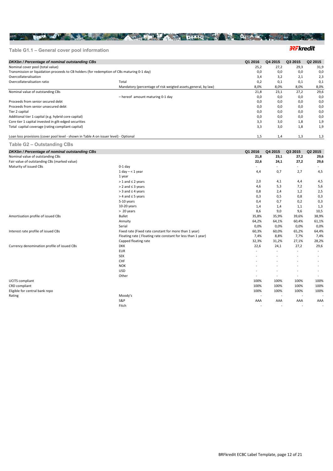## **Table G1.1 – General cover pool information**

### **32Fkredit**

| DKKbn / Percentage of nominal outstanding CBs                                               |                                                                | Q1 2016 | Q4 2015 | Q3 2015 | Q <sub>2</sub> 2015 |
|---------------------------------------------------------------------------------------------|----------------------------------------------------------------|---------|---------|---------|---------------------|
| Nominal cover pool (total value)                                                            |                                                                | 25,2    | 27,2    | 29,3    | 31,9                |
| Transmission or liquidation proceeds to CB holders (for redemption of CBs maturing 0-1 day) |                                                                | 0,0     | 0,0     | 0,0     | 0,0                 |
| Overcollateralisation                                                                       |                                                                | 3,4     | 3,2     | 2,1     | 2,3                 |
| Overcollateralisation ratio                                                                 | Total                                                          | 0,2     | 0,1     | 0,1     | 0,1                 |
|                                                                                             | Mandatory (percentage of risk weigted assets, general, by law) | 8,0%    | 8,0%    | 8,0%    | 8,0%                |
| Nominal value of outstanding CBs                                                            |                                                                | 21,8    | 23,1    | 27,2    | 29,6                |
|                                                                                             | - hereof amount maturing 0-1 day                               | 0,0     | 0,0     | 0,0     | 0,0                 |
| Proceeds from senior secured debt                                                           |                                                                | 0,0     | 0,0     | 0,0     | 0,0                 |
| Proceeds from senior unsecured debt                                                         |                                                                | 0,0     | 0,0     | 0,0     | 0,0                 |
| Tier 2 capital                                                                              |                                                                | 0,0     | 0,0     | 0,0     | 0,0                 |
| Additional tier 1 capital (e.g. hybrid core capital)                                        |                                                                | 0.0     | 0,0     | 0.0     | 0,0                 |
| Core tier 1 capital invested in gilt-edged securities                                       | 3,3                                                            | 3,0     | 1,8     | 1,9     |                     |
| Total capital coverage (rating compliant capital)                                           |                                                                | 3,3     | 3,0     | 1,8     | 1,9                 |
| Loan loss provisions (cover pool level - shown in Table A on issuer level) - Optional       |                                                                |         | 1,4     | 1,3     | 1,3                 |

THE REAL PASSE IN THE REAL PROPERTY OF A PARTICULAR CONTROL PROPERTY OF A REAL PROPERTY OF A REAL PROPERTY OF A

### **Table G2 – Outstanding CBs**

| DKKbn / Percentage of nominal outstanding CBs |                                                             | Q1 2016 | Q4 2015                  | Q3 2015 | Q2 2015 |
|-----------------------------------------------|-------------------------------------------------------------|---------|--------------------------|---------|---------|
| Nominal value of outstanding CBs              |                                                             | 21,8    | 23,1                     | 27,2    | 29,6    |
| Fair value of outstanding CBs (marked value)  |                                                             | 22,6    | 24,1                     | 27,2    | 29,6    |
| Maturity of issued CBs                        | $0-1$ day                                                   |         |                          | $\sim$  |         |
|                                               | $1$ day $- < 1$ year                                        | 4,4     | 0,7                      | 2,7     | 4,5     |
|                                               | 1 year                                                      |         |                          |         |         |
|                                               | $> 1$ and $\leq 2$ years                                    | 2,0     | 4,1                      | 4,4     | 4,5     |
|                                               | $> 2$ and $\leq 3$ years                                    | 4,6     | 5,3                      | 7,2     | 5,6     |
|                                               | $>$ 3 and $\leq$ 4 years                                    | 0,8     | 2,4                      | 1,2     | 2,5     |
|                                               | $>$ 4 and $\leq$ 5 years                                    | 0,3     | 0, 5                     | 0,8     | 0,3     |
|                                               | 5-10 years                                                  | 0,4     | 0,7                      | 0,2     | 0,3     |
|                                               | 10-20 years                                                 | 1,4     | 1,4                      | 1,1     | 1,3     |
|                                               | > 20 years                                                  | 8,6     | 9,0                      | 9,6     | 10,5    |
| Amortisation profile of issued CBs            | <b>Bullet</b>                                               | 35,8%   | 35,9%                    | 39,6%   | 38,9%   |
|                                               | Annuity                                                     | 64,2%   | 64,1%                    | 60,4%   | 61,1%   |
|                                               | Serial                                                      | 0.0%    | 0,0%                     | 0.0%    | 0,0%    |
| Interest rate profile of issued CBs           | Fixed rate (Fixed rate constant for more than 1 year)       | 60,3%   | 60,0%                    | 65,2%   | 64,4%   |
|                                               | Floating rate (Floating rate constant for less than 1 year) | 7,4%    | 8,8%                     | 7,7%    | 7,4%    |
|                                               | Capped floating rate                                        | 32,3%   | 31,2%                    | 27,1%   | 28,2%   |
| Currency denomination profile of issued CBs   | <b>DKK</b>                                                  | 22,6    | 24,1                     | 27,2    | 29,6    |
|                                               | <b>EUR</b>                                                  |         | $\overline{\phantom{a}}$ |         | $\sim$  |
|                                               | <b>SEK</b>                                                  |         |                          | $\sim$  | $\sim$  |
|                                               | CHF                                                         |         |                          |         |         |
|                                               | <b>NOK</b>                                                  |         |                          |         |         |
|                                               | <b>USD</b>                                                  |         |                          |         |         |
|                                               | Other                                                       |         |                          | $\sim$  |         |
| <b>UCITS</b> compliant                        |                                                             | 100%    | 100%                     | 100%    | 100%    |
| CRD compliant                                 |                                                             | 100%    | 100%                     | 100%    | 100%    |
| Eligible for central bank repo                |                                                             | 100%    | 100%                     | 100%    | 100%    |
| Rating                                        | Moody's                                                     |         |                          |         |         |
|                                               | S&P                                                         | AAA     | AAA                      | AAA     | AAA     |
|                                               | Fitch                                                       |         |                          | $\sim$  |         |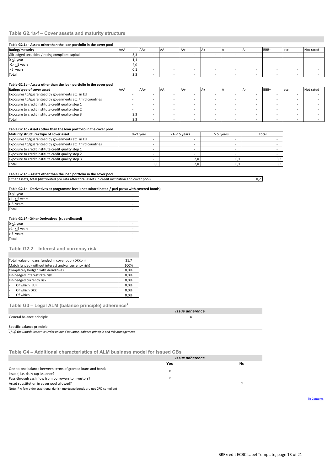### **Table G2.1a-f – Cover assets and maturity structure**

#### **Table G2.1a - Assets other than the loan portfolio in the cover pool**

| Rating/maturity                                  | <b>AAA</b> | AA+ | AA | AA- |  | BBB+ | etc. | Not rated |
|--------------------------------------------------|------------|-----|----|-----|--|------|------|-----------|
| Gilt-edged secutities / rating compliant capital | ر ر        |     |    |     |  |      |      |           |
| $0 - 1$ year                                     |            |     |    |     |  |      |      |           |
| $>1 - 5$ years                                   | 2,0        |     |    |     |  |      |      |           |
| > 5 years                                        | U.I        |     |    |     |  |      |      |           |
| Total                                            | ر ر        |     |    |     |  |      |      |           |

#### **Table G2.1b - Assets other than the loan portfolio in the cover pool**

| Rating/type of cover asset                                 | AAA | $AA+$ | <b>AA</b> | AA- | IA+ |  | BBB+ | etc. | Not rated |
|------------------------------------------------------------|-----|-------|-----------|-----|-----|--|------|------|-----------|
| Exposures to/guaranteed by govenments etc. in EU           |     |       |           |     |     |  |      |      |           |
| Exposures to/guaranteed by govenments etc. third countries |     |       |           |     |     |  |      |      |           |
| Exposure to credit institute credit quality step 1         |     |       |           |     |     |  |      |      |           |
| Exposure to credit institute credit quality step 2         |     |       |           |     |     |  |      |      |           |
| Exposure to credit institute credit quality step 3         |     |       |           |     |     |  |      |      |           |
| Total                                                      | 3,3 |       |           |     |     |  |      |      |           |

#### **Table G2.1c - Assets other than the loan portfolio in the cover pool**

| Maturity structure/Type of cover asset                     | $0 - 1$ year | $>1 - 5$ years | > 5 years | Total |
|------------------------------------------------------------|--------------|----------------|-----------|-------|
| Exposures to/guaranteed by govenments etc. in EU           |              |                |           |       |
| Exposures to/guaranteed by govenments etc. third countries |              |                |           |       |
| Exposure to credit institute credit quality step 1         |              |                |           |       |
| Exposure to credit institute credit quality step 2         |              |                |           |       |
| Exposure to credit institute credit quality step 3         |              | 2,0            | 0,1       |       |
| Total                                                      | 1,1          | 2,0            | 0.1       | 3,3   |

#### **Table G2.1d - Assets other than the loan portfolio in the cover pool**

Other assets, total (distributed pro rata after total assets in credit institution and cover pool)

#### **Table G2.1e - Derivatives at programme level (not subordinated / pari passu with covered bonds)**

| $0 - 1$ year   | - |
|----------------|---|
| $>1 - 5$ years | - |
| years          | - |
| Total          | - |

#### **Table G2.1f - Other Derivatives (subordinated)**

| $0 - 1$ year      | - |
|-------------------|---|
| $>1 - 5$ years    | - |
| $\geq$ 5<br>years | - |
| Total             |   |
|                   |   |

### **Table G2.2 – Interest and currency risk**

| Total value of loans funded in cover pool (DKKbn)    | 21.7 |
|------------------------------------------------------|------|
| Match funded (without interest and/or currency risk) | 100% |
| Completely hedged with derivatives                   | 0,0% |
| Un-hedged interest rate risk                         | 0.0% |
| Un-hedged currency risk                              | 0.0% |
| Of which EUR                                         | 0,0% |
| Of which DKK                                         | 0.0% |
| Of which                                             | 0.0% |

**Table G3 – Legal ALM (balance principle) adherence<sup>1</sup>**

|                           | sue adherence |
|---------------------------|---------------|
| General balance principle | $\sim$        |

# Specific balance principle

*1) Cf. the Danish Executive Order on bond issuance, balance principle and risk management*

**Table G4 – Additional characteristics of ALM business model for issued CBs**

|                                                                                                 | Issue adherence |    |
|-------------------------------------------------------------------------------------------------|-----------------|----|
|                                                                                                 | Yes             | No |
| One-to-one balance between terms of granted loans and bonds<br>issued, i.e. daily tap issuance? |                 |    |
| Pass-through cash flow from borrowers to investors?                                             |                 |    |
| Asset substitution in cover pool allowed?                                                       |                 | x  |

Note: \* A few older traditional danish mortgage bonds are not CRD compliant

To Contents

0,2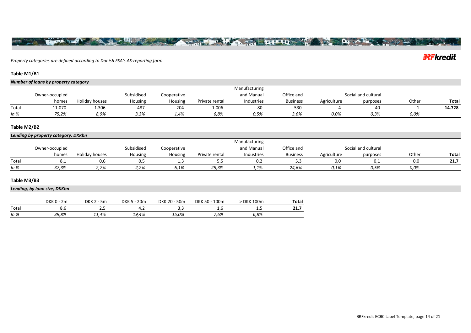*Property categories are defined according to Danish FSA's AS-reporting form*

**Thursday** 

### **Table M1/B1**

|        | Number of loans by property category |                |            |                |                |               |                 |             |                     |       |        |
|--------|--------------------------------------|----------------|------------|----------------|----------------|---------------|-----------------|-------------|---------------------|-------|--------|
|        |                                      |                |            |                |                | Manufacturing |                 |             |                     |       |        |
|        | Owner-occupied                       |                | Subsidised | Cooperative    |                | and Manual    | Office and      |             | Social and cultural |       |        |
|        | homes                                | Holiday houses | Housing    | <b>Housing</b> | Private rental | Industries    | <b>Business</b> | Agriculture | purposes            | Other | Total  |
| Total  | 11.070                               | 1.306          | 487        | 204            | 1.006          | 80            | 530             |             |                     |       | 14.728 |
| In $%$ | 75,2%                                | 8,9%           | 3,3%       | 1,4%           | 6,8%           | 0.5%          | 3,6%            | 0,0%        | 0.3%                | 0.0%  |        |

### **Table M2/B2**

### *Lending by property category, DKKbn*

|        |                |                |            |             |                | Manufacturing |                 |             |                     |       |       |
|--------|----------------|----------------|------------|-------------|----------------|---------------|-----------------|-------------|---------------------|-------|-------|
|        | Owner-occupied |                | Subsidised | Cooperative |                | and Manual    | Office and      |             | Social and cultural |       |       |
|        | homes          | Holiday houses | Housing    | Housing     | Private rental | Industries    | <b>Business</b> | Agriculture | purposes            | Other | Total |
| Total  |                |                |            |             |                |               |                 | 0.0         |                     |       | 21,7  |
| In $%$ | 37,3%          | 2.7%           | 2,2%       | 6,1%        | 25,3%          | 1,1%          | 24,6%           | 0,1%        | 0.5%                | 0,0%  |       |

### **Table M3/B3**

*Lending, by loan size, DKKbn*

|        | DKK C<br>2m | DKK <sub>2</sub><br>5 <sub>m</sub> | 20 <sub>m</sub><br>DKK 5 | 50 <sub>m</sub><br><b>DKK 20 -</b> | 100 <sub>m</sub><br>$.50 -$<br>DKK | <b>DKK 100m</b> | Total               |
|--------|-------------|------------------------------------|--------------------------|------------------------------------|------------------------------------|-----------------|---------------------|
| Total  | o.c         | -                                  | .с                       | .                                  | .                                  | ب ر __          | <b>34.7</b><br>44,7 |
| In $%$ | 39,8%       | 11,4%                              | 19,4%                    | 15,0%                              | 7,6%                               | 6,8%            |                     |

# **3?Fkredit**

**Our AV** 

**Francisco** 

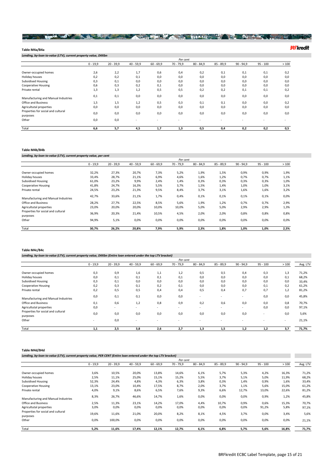### The second of the second state of the second state of the second state of the state of the state of the state of

#### **Table M4a/B4a**

*Lending, by-loan to-value (LTV), current property value, DKKbn* 0 - 19,9 20 - 39,9 40 - 59,9 60 - 69,9 70 - 79,9 80 - 84,9 85 - 89,9 90 - 94,9 95 - 100 > 100 Owner-occupied homes 2,6 2,2 1,7 0,6 0,4 0,2 0,1 0,1 0,1 0,2 Holiday houses 0,2 0,2 0,1 0,0 0,0 0,0 0,0 0,0 0,0 0,0 Subsidised Housing 0,3 0,1 0,0 0,0 0,0 0,0 0,0 0,0 0,0 Cooperative Housing 0,6 0,3 0,2 0,1 0,0 0,0 0,0 0,0 0,0 0,0 Private rental 1,3 1,3 1,2 0,5 0,5 0,2 0,2 0,1 0,1 0,2 Manufacturing and Manual Industries 0,1 0,1 0,0 0,0 0,0 0,0 0,0 0,0 0,0 0,0 Office and Business 1,5 1,5 1,2 0,5 0,3 0,1 0,1 0,0 0,0 0,2 Agricultutal properties 0,0 0,0 0,0 0,0 0,0 0,0 0,0 0,0 0,0 0,0 Properties for social and cultural purposes<br>Other 0,0 0,0 0,0 0,0 0,0 0,0 0,0 0,0 0,0 0,0 Other 0,0 0,0 - - - - - - - - Total **6,6 5,7 4,5 1,7 1,3 0,5 0,4 0,2 0,2 0,5** *Per cent*<br>70 - 79,9

#### **Table M4b/B4b**

*Lending, by-loan to-value (LTV), current property value, per cent*

|                                                |            |             |             |             | Per cent    |             |             |             |            |      |
|------------------------------------------------|------------|-------------|-------------|-------------|-------------|-------------|-------------|-------------|------------|------|
|                                                | $0 - 19,9$ | $20 - 39,9$ | $40 - 59,9$ | $60 - 69,9$ | $70 - 79,9$ | $80 - 84,9$ | $85 - 89,9$ | $90 - 94,9$ | $95 - 100$ | >100 |
| Owner-occupied homes                           | 32,2%      | 27,3%       | 20,7%       | 7,3%        | 5,2%        | 1,9%        | 1,5%        | 0,9%        | 0,9%       | 1,9% |
| Holiday houses                                 | 33,4%      | 28,7%       | 21,1%       | 6,9%        | 4,6%        | 1,6%        | 1,2%        | 0,7%        | 0,7%       | 1,1% |
| <b>Subsidised Housing</b>                      | 61,0%      | 23,2%       | 9,9%        | 2,4%        | 1,4%        | 0,3%        | 0,3%        | 0,3%        | 0,3%       | 1,0% |
| <b>Cooperative Housing</b>                     | 41,8%      | 24,7%       | 16,3%       | 5,5%        | 3,7%        | 1,5%        | 1,4%        | 1,0%        | 1,0%       | 3,1% |
| Private rental                                 | 24,5%      | 23,2%       | 21,3%       | 9,5%        | 8,4%        | 3,7%        | 3,1%        | 1,6%        | 1,6%       | 3,2% |
| Manufacturing and Manual Industries            | 42,7%      | 33,6%       | 21,1%       | 1,7%        | 0,4%        | 0,1%        | 0,1%        | 0,1%        | 0,1%       | 0,0% |
| Office and Business                            | 28,2%      | 27,7%       | 22,5%       | 8,5%        | 5,6%        | 1,9%        | 1,2%        | 0,7%        | 0,7%       | 2,9% |
| Agricultutal properties                        | 23,0%      | 20,0%       | 20,0%       | 10,0%       | 10,0%       | 5,0%        | 5,0%        | 2,9%        | 2,9%       | 1,3% |
| Properties for social and cultural<br>purposes | 36,9%      | 20,3%       | 21,4%       | 10,5%       | 4,5%        | 2,0%        | 2,0%        | 0,8%        | 0,8%       | 0,8% |
| Other                                          | 94,9%      | 5,1%        | 0,0%        | 0,0%        | 0,0%        | 0,0%        | 0,0%        | 0,0%        | 0,0%       | 0,0% |
| Total                                          | 30,7%      | 26,2%       | 20,8%       | 7,9%        | 5,9%        | 2,3%        | 1,8%        | 1,0%        | 1,0%       | 2,5% |

#### **Table M4c/B4c**

*Lending, by-loan to-value (LTV), current property value, DKKbn (Entire loan entered under the top LTV bracket)*

|                                                         |            |             |             |             | Per cent    |             |             |             |            |            |                |
|---------------------------------------------------------|------------|-------------|-------------|-------------|-------------|-------------|-------------|-------------|------------|------------|----------------|
|                                                         | $0 - 19,9$ | $20 - 39,9$ | $40 - 59,9$ | $60 - 69,9$ | $70 - 79,9$ | $80 - 84,9$ | $85 - 89,9$ | $90 - 94,9$ | $95 - 100$ | >100       | Avg. LTV       |
| Owner-occupied homes<br>Holiday houses                  | 0,3<br>0,0 | 0,9<br>0,1  | 1,6<br>0,1  | 1,1<br>0,1  | 1,2<br>0,1  | 0,5<br>0,0  | 0,5<br>0,0  | 0,4<br>0,0  | 0,3<br>0,0 | 1,3<br>0,1 | 71,2%<br>68,2% |
| <b>Subsidised Housing</b><br><b>Cooperative Housing</b> | 0,3<br>0,2 | 0,1         | 0,0<br>0,1  | 0,0<br>0,2  | 0,0<br>0,1  | 0,0<br>0,0  | 0,0<br>0,0  | 0,0<br>0,0  | 0,0<br>0,1 | 0,0        | 33,4%          |
| Private rental                                          | 0,2        | 0,3<br>0,5  | 0,5         | 0,4         | 0,4         | 0,5         | 0,4         | 0,7         | 0,7        | 0,2<br>1,2 | 61,2%<br>81,2% |
| Manufacturing and Manual Industries                     | 0,0        | 0,1         | 0,1         | 0,0         | 0,0         | $\sim$      | ж.          | $\sim$      | 0,0        | 0,0        | 45,8%          |
| <b>Office and Business</b>                              | 0,1        | 0,6         | 1,2         | 0,8         | 0,9         | 0,2         | 0,6         | 0,0         | 0,0        | 0,8        | 70,7%          |
| Agricultutal properties                                 | 0,0        | $\sim$      | ж.          | ×.          | ж.          |             | ж.          | $\sim$      | 0,0        | 0,0        | 97,1%          |
| Properties for social and cultural<br>purposes          | 0,0        | 0,0         | 0,0         | 0,0         | 0,0         | 0,0         | 0,0         | 0,0         | $\sim$     | 0,0        | 5,6%           |
| Other                                                   |            | 0,0         | ж.          |             | ж.          |             | $\sim$      |             | $\sim$     | $\sim$     | 21,1%          |
| Total                                                   | 1,1        | 2,5         | 3,8         | 2,6         | 2,7         | 1,3         | 1,5         | 1,2         | 1,2        | 3,7        | 71,7%          |

#### **Table M4d/B4d**

*Lending, by-loan to-value (LTV), current property value, PER CENT (Entire loan entered under the top LTV bracket)*

|                                                |            |             |             |             | Per cent    |             |             |             |            |       |          |
|------------------------------------------------|------------|-------------|-------------|-------------|-------------|-------------|-------------|-------------|------------|-------|----------|
|                                                | $0 - 19,9$ | $20 - 39,9$ | $40 - 59,9$ | $60 - 69,9$ | $70 - 79,9$ | $80 - 84,9$ | $85 - 89,9$ | $90 - 94,9$ | $95 - 100$ | >100  | Avg. LTV |
| Owner-occupied homes                           | 3,6%       | 10,5%       | 20,0%       | 13,8%       | 14,6%       | 6,1%        | 5,7%        | 5,3%        | 4,2%       | 16,3% | 71,2%    |
| Holiday houses                                 | 2,5%       | 11,1%       | 25,0%       | 15,1%       | 15,2%       | 5,5%        | 3,7%        | 5,1%        | 5,0%       | 11,9% | 68,2%    |
| <b>Subsidised Housing</b>                      | 52,3%      | 24,4%       | 4,8%        | 4,3%        | 6,3%        | 3,8%        | 0,3%        | 1,4%        | 0,9%       | 1,6%  | 33,4%    |
| <b>Cooperative Housing</b>                     | 13,1%      | 23,0%       | 10,4%       | 17,5%       | 8,7%        | 2,0%        | 3,7%        | 1,1%        | 5,6%       | 15,0% | 61,2%    |
| Private rental                                 | 4,0%       | 9,1%        | 8,6%        | 6,5%        | 7,6%        | 9,3%        | 6,6%        | 12,7%       | 13,0%      | 22,6% | 81,2%    |
| Manufacturing and Manual Industries            | 8,3%       | 26,7%       | 46,6%       | 14,7%       | 1,6%        | 0,0%        | 0,0%        | 0,0%        | 0,9%       | 1,2%  | 45,8%    |
| <b>Office and Business</b>                     | 2,5%       | 11,3%       | 23,1%       | 14,2%       | 17,0%       | 4,4%        | 10,7%       | 0,9%        | 0,6%       | 15,3% | 70,7%    |
| Agricultutal properties                        | 3,0%       | 0,0%        | 0,0%        | 0,0%        | 0,0%        | 0,0%        | 0,0%        | 0,0%        | 91,2%      | 5,8%  | 97,1%    |
| Properties for social and cultural<br>purposes | 19,6%      | 11,6%       | 21,0%       | 20,0%       | 8,2%        | 8,1%        | 4,5%        | 3,7%        | 0,0%       | 3,4%  | 5,6%     |
| Other                                          | 0,0%       | 100,0%      | 0,0%        | 0,0%        | 0,0%        | 0,0%        | 0,0%        | 0,0%        | 0,0%       | 0,0%  | 21,1%    |
| Total                                          | 5,2%       | 11,6%       | 17,4%       | 12,1%       | 12,7%       | 6,1%        | 6,8%        | 5,7%        | 5,6%       | 16,8% | 71,7%    |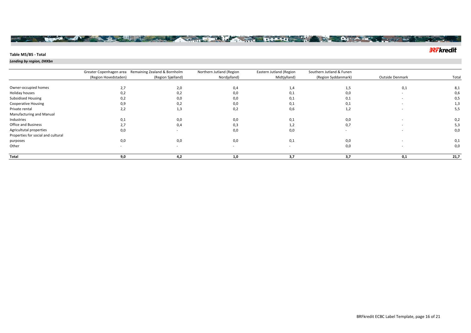### **Table M5/B5 - Total**

<sub>1917</sub> 1917 1917

### *Lending by region, DKKbn*

|                                    |                          | Greater Copenhagen area Remaining Zealand & Bornholm | Northern Jutland (Region | Eastern Jutland (Region | Southern Jutland & Funen |                        |       |
|------------------------------------|--------------------------|------------------------------------------------------|--------------------------|-------------------------|--------------------------|------------------------|-------|
|                                    | (Region Hovedstaden)     | (Region Sjælland)                                    | Nordjylland)             | Midtjylland)            | (Region Syddanmark)      | <b>Outside Denmark</b> | Total |
|                                    |                          |                                                      |                          |                         |                          |                        |       |
| Owner-occupied homes               | 2,7                      | 2,0                                                  | 0,4                      | 1,4                     | 1,5                      | 0,1                    | 8,1   |
| Holiday houses                     | 0,2                      | 0,2                                                  | 0,0                      | 0,1                     | 0,0                      |                        | 0,6   |
| Subsidised Housing                 | 0,2                      | 0,0                                                  | 0,0                      | 0,1                     | 0,1                      |                        | 0,5   |
| <b>Cooperative Housing</b>         | 0,9                      | 0,2                                                  | 0,0                      | 0,1                     | 0,1                      |                        | 1,3   |
| Private rental                     | 2,2                      | 1,3                                                  | 0,2                      | 0,6                     | 1,2                      |                        | 5,5   |
| Manufacturing and Manual           |                          |                                                      |                          |                         |                          |                        |       |
| Industries                         | 0,1                      | 0,0                                                  | 0,0                      | 0,1                     | 0,0                      |                        | 0,2   |
| Office and Business                | 2,7                      | 0,4                                                  | 0,3                      | 1,2                     | 0,7                      |                        | 5,3   |
| Agricultutal properties            | 0,0                      |                                                      | 0,0                      | 0,0                     |                          |                        | 0,0   |
| Properties for social and cultural |                          |                                                      |                          |                         |                          |                        |       |
| purposes                           | 0,0                      | 0,0                                                  | 0,0                      | 0,1                     | 0,0                      |                        | 0,1   |
| Other                              | $\overline{\phantom{a}}$ | $\sim$                                               | $\sim$                   | $\sim$                  | 0,0                      |                        | 0,0   |
| Total                              | 9,0                      | 4,2                                                  | 1,0                      | 3,7                     | 3.7                      | 0,1                    | 21,7  |

The state of the state of the state of the state of the state of the state of the state of the state of the state of the state of the state of the state of the state of the state of the state of the state of the state of t

# **3?Fkredit**

 $\frac{1}{2}$ 

April 14/4 Same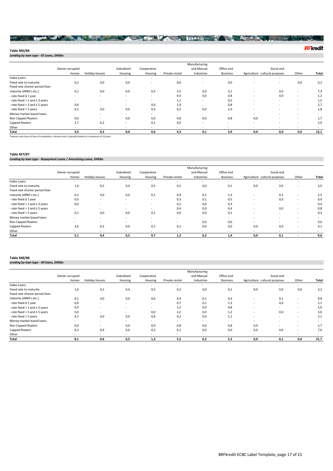### BOOK AND STREET TO BE A PARTICULAR OF A PARTY OF A REAL PROPERTY

**32Fkredit** 

**Table M6/B6** *Lending by loan type - IO Loans, DKKbn*

Owner-occupied Holiday houses Subsidised Housing Cooperative Private rental Manufacturing and Manual Industries Office and Business Agriculture cultural purposes Other **Total** Social and Index Loans - - - - - - - - - - - Fixed-rate to maturity 0,2 0,0 0,0 - 0,0 - 0,0 - - 0,0 0,2 Fixed-rate shorter period than<br>maturity (ARM's etc.) maturity (ARM's etc.) 0,1 0,0 0,0 0,5 3,5 0,0 3,1 - 0,0 - 7,3 - rate fixed **≤** 1 year - - - - 0,4 0,0 0,8 - 0,0 - 1,2 - rate fixed > 1 and ≤ 3 years - - - - 1,1 - 0,5 - - - 1,5 - rate fixed > 3 and ≤ 5 years 0,0 - - - 0,0 1,9 - 0,8 - - - - - 2,7<br>- rate fixed > 5 years 0,1 0,0 0,0 0,5 0,2 0,0 1,0 - - - - 1,8 - rate fixed > 5 years 0,1 0,0 0,0 0,5 0,2 0,0 1,0 - - - 1,8 Money market based loans - - - - - - - - - - - Non Capped floaters 0,0 0,0 0,0 0,8 0,8 0,0 - 1,7 Capped floaters 2,7 0,2 - 0,1 0,0 - - - - - 2,9 Other - - - - - - - - - - - **Total 3,0 0,2 0,0 0,6 4,3 0,1 3,9 0,0 0,0 0,0 12,1**

\*Interest-only loans at time of compilation. Interest-only is typically limited to a maximum of 10 years

#### **Table M7/B7**

*Lending by loan type - Repayment Loans / Amortizing Loans, DKKbn*

|                                       |                |                |            |             |                          | Manufacturing |                 |                               |            |                          |        |
|---------------------------------------|----------------|----------------|------------|-------------|--------------------------|---------------|-----------------|-------------------------------|------------|--------------------------|--------|
|                                       | Owner-occupied |                | Subsidised | Cooperative |                          | and Manual    | Office and      |                               | Social and |                          |        |
|                                       | homes          | Holiday houses | Housing    | Housing     | Private rental           | Industries    | <b>Business</b> | Agriculture cultural purposes |            | Other                    | Total  |
| Index Loans                           |                | $\sim$         | $\sim$     | $\sim$      | $\overline{\phantom{a}}$ | $\sim$        | $\sim$          |                               | $\sim$     | $\sim$                   | $\sim$ |
| Fixed-rate to maturity                | 1,4            | 0,2            | 0,4        | 0,5         | 0,2                      | 0,0           | 0,1             | 0,0                           | 0,0        |                          | 3,0    |
| Fixed-rate shorter period than        |                |                |            |             |                          |               |                 |                               |            |                          |        |
| maturity (ARM's etc.)                 | 0,1            | 0,0            | 0,0        | 0,1         | 0,9                      | 0,1           | 1,3             |                               | 0,1        | $\sim$                   | 2,5    |
| - rate fixed ≤ 1 year                 | 0,0            | $\sim$         |            | ۰.          | 0,3                      | 0,1           | 0,5             |                               | 0,0        |                          | 0,9    |
| - rate fixed $> 1$ and $\leq 3$ years | 0,0            |                | $\sim$     | $\sim$      | 0,2                      | 0,0           | 0,3             | $\sim$                        | $\sim$     |                          | 0,4    |
| - rate fixed $>$ 3 and $\leq$ 5 years |                | ۰.             | ۰.         | $\sim$      | 0,4                      | 0,0           | 0,4             |                               | 0,0        |                          | 0,8    |
| - rate fixed > 5 years                | 0,1            | 0,0            | 0,0        | 0,1         | 0,0                      | 0,0           | 0,1             |                               | $\sim$     |                          | 0,3    |
| Money market based loans              |                | $\sim$         |            | ۰.          | $\overline{\phantom{a}}$ | $\sim$        | ۰.              |                               | $\sim$     |                          | $\sim$ |
| Non Capped floaters                   | $\sim$         | $\sim$         |            | ۰.          | $\overline{\phantom{a}}$ | 0,0           | 0,0             | $\sim$                        | $\sim$     | $\sim$                   | 0,0    |
| Capped floaters                       | 3,6            | 0,2            | 0,0        | 0,1         | 0,1                      | 0,0           | 0,0             | 0.0                           | 0,0        | $\sim$                   | 4,1    |
| Other                                 |                | . .            |            | ۰.          | $\sim$                   | $\sim$        | $\sim$          | $\sim$                        | $\sim$     | $\overline{\phantom{a}}$ |        |
| Total                                 | 5,1            | 0,4            | 0,5        | 0,7         | 1,2                      | 0,2           | 1,4             | 0,0                           | 0,1        |                          | 9,6    |

#### **Table M8/B8**

*Lending by loan type - All loans, DKKbn*

|                                       |                |                |            |             |                | Manufacturing |                 |                               |            |        |        |
|---------------------------------------|----------------|----------------|------------|-------------|----------------|---------------|-----------------|-------------------------------|------------|--------|--------|
|                                       | Owner-occupied |                | Subsidised | Cooperative |                | and Manual    | Office and      |                               | Social and |        |        |
|                                       | homes          | Holiday houses | Housing    | Housing     | Private rental | Industries    | <b>Business</b> | Agriculture cultural purposes |            | Other  | Total  |
| Index Loans                           |                |                |            | ÷.          | $\sim$         | ٠             | $\sim$          |                               | ٠          |        | $\sim$ |
| Fixed-rate to maturity                | 1,6            | 0,2            | 0,4        | 0,5         | 0,2            | 0,0           | 0,1             | 0,0                           | 0,0        | 0,0    | 3,2    |
| Fixed-rate shorter period than        |                |                |            |             |                |               |                 |                               |            |        |        |
| maturity (ARM's etc.)                 | 0,1            | 0,0            | 0,0        | 0,6         | 4,4            | 0,1           | 4,4             | $\sim$                        | 0,1        |        | 9,8    |
| - rate fixed ≤ 1 year                 | 0,0            | $\sim$         | . .        | ۰.          | 0,7            | 0,1           | 1,3             |                               | 0,0        |        | 2,1    |
| - rate fixed $>$ 1 and $\leq$ 3 years | 0,0            |                |            | ۰.          | 1,2            | 0,0           | 0,8             | $\sim$                        | ۰.         |        | 2,0    |
| - rate fixed $>$ 3 and $\leq$ 5 years | 0,0            | $\sim$         |            | 0,0         | 2,2            | 0,0           | 1,2             |                               | 0,0        | $\sim$ | 3,6    |
| - rate fixed > 5 years                | 0,1            | 0,0            | 0,0        | 0,6         | 0,2            | 0,0           | 1,1             |                               | ٠          |        | 2,1    |
| Money market based loans              |                |                | . .        | ۰.          | $\sim$         |               | $\sim$          |                               |            |        |        |
| Non Capped floaters                   | 0,0            | $\sim$         | 0,0        | 0,0         | 0,8            | 0,0           | 0,8             | 0.0                           | $\sim$     |        | 1,7    |
| Capped floaters                       | 6,3            | 0,4            | 0,0        | 0,2         | 0,1            | 0,0           | 0,0             | 0,0                           | 0,0        |        | 7,0    |
| Other                                 |                |                |            | ÷.          | $\sim$         | $\sim$        | $\sim$          | $\sim$                        | $\sim$     |        |        |
| Total                                 | 8,1            | 0,6            | 0,5        | 1,3         | 5,5            | 0,2           | 5.3             | 0.0                           | 0,1        | 0,0    | 21,7   |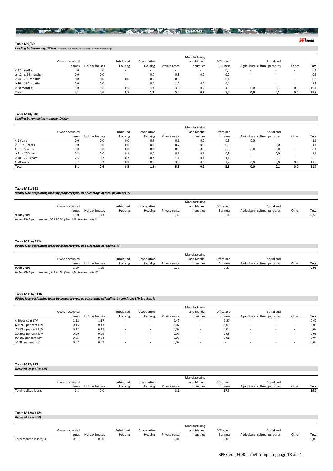#### NAME OF TAXABLE PARTY OF THE PARTY OF A PARTY OF THE PARTY OF THE PARTY OF THE PARTY OF THE PARTY OF THE PARTY OF THE PARTY OF THE PARTY OF THE PARTY OF THE PARTY OF THE PARTY OF THE PARTY OF THE PARTY OF THE PARTY OF THE man **a**

#### **Table M9/B9**

*Lending by Seasoning, DKKbn (Seasoning defined by duration of customer relationship)*

|                              |                |                |            |             |                | Manufacturing |                 |                               |            |       |       |
|------------------------------|----------------|----------------|------------|-------------|----------------|---------------|-----------------|-------------------------------|------------|-------|-------|
|                              | Owner-occupied |                | Subsidised | Cooperative |                | and Manual    | Office and      |                               | Social and |       |       |
|                              | homes          | Holiday houses | Housing    | Housing     | Private rental | Industries    | <b>Business</b> | Agriculture cultural purposes |            | Other | Total |
| < 12 months                  | 0,0            | 0,0            |            |             |                |               | 0,0             |                               |            |       | 0,1   |
| $\geq 12 - 524$ months       | 0,0            | 0,0            |            | 0,0         | 0,5            | 0,0           | 0,0             |                               |            |       | 0,6   |
| $\geq$ 24 - $\leq$ 36 months | 0,0            | 0,0            | 0,0        | 0,0         | 0,0            |               | 0,4             |                               |            |       | 0,5   |
| $\geq$ 36 - $\leq$ 60 months | 0,0            | 0,0            |            | 0,0         | 1,0            | 0,0           | 0,4             |                               |            |       | 1,5   |
| $\geq 60$ months             | 8.0            | 0.6            | 0.5        |             | 3.9            | 0,2           |                 | 0.0                           |            | 0,0   | 19,1  |
| Total                        | 8,1            | 0.6            | 0.5        |             | 5.5            | 0,2           | 5.3             | 0,0                           | 0.1        | 0,0   | 21,7  |

#### **Table M10/B10**

*Lending by remaining maturity, DKKbn*

|                             |                |                |            |             |                | Manufacturing |                 |                               |            |       |       |
|-----------------------------|----------------|----------------|------------|-------------|----------------|---------------|-----------------|-------------------------------|------------|-------|-------|
|                             | Owner-occupied |                | Subsidised | Cooperative |                | and Manual    | Office and      |                               | Social and |       |       |
|                             | homes          | Holiday houses | Housing    | Housing     | Private rental | Industries    | <b>Business</b> | Agriculture cultural purposes |            | Other | Total |
| $<$ 1 Years                 | 0,0            | 0,0            | 0,0        | 0,4         | 0,1            | 0,0           | 0,5             | 0,0                           |            |       | 1,1   |
| $\geq 1 - \leq 3$ Years     | 0,0            | 0,0            | 0,0        | 0,0         | 0,7            | 0,0           | 0,3             |                               | 0.0        |       | 1,1   |
| $\geq$ 3 - $\leq$ 5 Years   | 0,0            | 0,0            | 0,0        | 0,0         | 0,0            | 0,0           | 0,0             | 0,0                           | 0.0        |       | 0,1   |
| $\geq$ 5 - $\leq$ 10 Years  | 0,3            | 0,0            | 0,1        | 0,0         | 0,1            | 0,1           | 0,5             |                               | 0.0        |       | 1,1   |
| $\geq 10$ - $\leq 20$ Years | 2,5            | 0,2            | 0,2        | 0,2         | 1,4            | 0,1           | 1,4             |                               | 0.1        |       | 6,0   |
| $\geq$ 20 Years             | 5.2            | 0.3            | 0,1        | 0.6         | 3,3            | 0,0           |                 | 0,0                           | 0.0        | 0,0   | 12,3  |
| Total                       | 8.1            | 0.6            | 0.5        |             | 5,5            | 0,2           | 5.3             | 0.0                           | 0.1        | 0,0   | 21,7  |

#### **Table M11/B11**

#### *90 day Non-performing loans by property type, as percentage of total payments, %*

|                                                                  |                |                |            |             |                | Manufacturing |                 |                               |            |      |       |
|------------------------------------------------------------------|----------------|----------------|------------|-------------|----------------|---------------|-----------------|-------------------------------|------------|------|-------|
|                                                                  | Owner-occupied |                | Subsidised | Cooperative |                | and Manual    | Office and      |                               | Social and |      |       |
|                                                                  | homes          | Holiday houses | Housing    | Housing     | Private rental | Industries    | <b>Business</b> | Agriculture cultural purposes |            | Othe | Total |
| 90 day NPL                                                       | 1.30           | 1.43           |            |             | 0.30           |               | 0.14            |                               |            |      | 0.55  |
| Nota: 00 days arrage as of 01.2016. (See definition in table V1) |                |                |            |             |                |               |                 |                               |            |      |       |

*Note: 90-days arrear as of Q1 2016 (See definition in table X1)*

#### **Table M11a/B11a**

#### *90 day Non-performing loans by property type, as percentage of lending, %*

|                                                                 |                |                |            |             |                | Manufacturing |                 |                               |            |       |       |
|-----------------------------------------------------------------|----------------|----------------|------------|-------------|----------------|---------------|-----------------|-------------------------------|------------|-------|-------|
|                                                                 | Owner-occupied |                | Subsidised | Cooperative |                | and Manual    | Office and      |                               | Social and |       |       |
|                                                                 | homes          | Holiday houses | Housing    | Housing     | Private rental | Industries    | <b>Business</b> | Agriculture cultural purposes |            | Other | Total |
| 90 day NPL                                                      | 1.59           | 1.59           |            |             | 0.78           |               | 0.30            |                               |            |       | 0.91  |
| Note: 90-days arrear as of Q1 2016 (See definition in table X1) |                |                |            |             |                |               |                 |                               |            |       |       |

# **Table M11b/B11b**

| 17 90 day Non-performing loans by property type, as percentage of lending, by continous LTV bracket, |  |
|------------------------------------------------------------------------------------------------------|--|
|                                                                                                      |  |

|                      |                |                |            |                          |                | Manufacturing |                 |                               |            |       |       |
|----------------------|----------------|----------------|------------|--------------------------|----------------|---------------|-----------------|-------------------------------|------------|-------|-------|
|                      | Owner-occupied |                | Subsidised | Cooperative              |                | and Manual    | Office and      |                               | Social and |       |       |
|                      | homes          | Holiday houses | Housing    | Housing                  | Private rental | Industries    | <b>Business</b> | Agriculture cultural purposes |            | Other | Total |
| < 60per cent LTV     | 1,12           | 1,17           |            | $\overline{\phantom{a}}$ | 0,47           |               | 0,20            |                               | $\sim$     |       | 0,62  |
| 60-69.9 per cent LTV | 0,15           | 0,13           |            |                          | 0,07           |               | 0,03            |                               |            |       | 0,09  |
| 70-79.9 per cent LTV | 0,12           | 0,12           |            | $\overline{\phantom{a}}$ | 0,07           |               | 0,03            |                               |            |       | 0,07  |
| 80-89.9 per cent LTV | 0.09           | 0.09           |            |                          | 0,07           |               | 0.03            |                               |            |       | 0,06  |
| 90-100 per cent LTV  | 0,05           | 0,04           |            | $\overline{\phantom{a}}$ | 0,07           |               | 0,01            |                               | . .        |       | 0,04  |
| >100 per cent LTV    | 0,07           | 0,02           |            | $\overline{\phantom{a}}$ | 0.02           |               |                 |                               |            |       | 0,03  |

#### **Table M12/B12** *Realised losses (DKKm)*

| .                     |                |                |            |             |                |               |                 |                               |            |       |              |
|-----------------------|----------------|----------------|------------|-------------|----------------|---------------|-----------------|-------------------------------|------------|-------|--------------|
|                       |                |                |            |             |                |               |                 |                               |            |       |              |
|                       |                |                |            |             |                | Manufacturing |                 |                               |            |       |              |
|                       | Owner-occupied |                | Subsidised | Cooperative |                | and Manual    | Office and      |                               | Social and |       |              |
|                       | homes          | Holiday houses | Housing    | Housing     | Private rental | Industries    | <b>Business</b> | Agriculture cultural purposes |            | Other | <b>Total</b> |
| Total realised losses | ه. ۲           | $-0.0$         |            |             | .              |               | 17.6            |                               |            |       | 19.0         |

#### **Table M12a/B12a** *Realised losses (%)*

|                          |                |                |            |             |                | Manufacturing |                 |                               |            |       |       |
|--------------------------|----------------|----------------|------------|-------------|----------------|---------------|-----------------|-------------------------------|------------|-------|-------|
|                          | Owner-occupied |                | Subsidised | Cooperative |                | and Manual    | Office and      |                               | Social and |       |       |
|                          | homes          | Holiday houses | Housing    | Housing     | Private rental | Industries    | <b>Business</b> | Agriculture cultural purposes |            | Other | Total |
| Total realised losses, % | $-0.01$        | $-0.00$        |            |             | 0.01           |               | 0,08            |                               |            |       | 0,09  |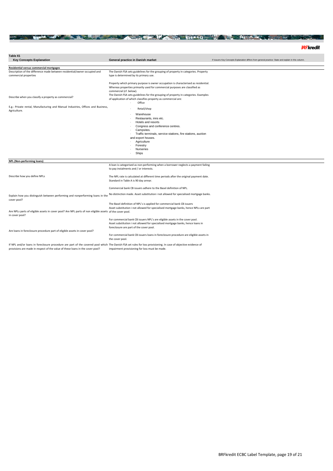### THE REAL PROPERTY OF A STATE OF A PARTICULAR CONTRACTOR OF A PARTICULAR CONTRACTOR

| Table X1                                                                                                                                                                                                                                          |                                                                                                                                                                                                                                                                                                                                                                  |                                                                                                      |
|---------------------------------------------------------------------------------------------------------------------------------------------------------------------------------------------------------------------------------------------------|------------------------------------------------------------------------------------------------------------------------------------------------------------------------------------------------------------------------------------------------------------------------------------------------------------------------------------------------------------------|------------------------------------------------------------------------------------------------------|
| <b>Key Concepts Explanation</b>                                                                                                                                                                                                                   | General practice in Danish market                                                                                                                                                                                                                                                                                                                                | If issuers Key Concepts Explanation differs from general practice: State and explain in this column. |
| Residential versus commercial mortgages                                                                                                                                                                                                           |                                                                                                                                                                                                                                                                                                                                                                  |                                                                                                      |
| Description of the difference made between residential/owner occupied and<br>commercial properties                                                                                                                                                | The Danish FSA sets guidelines for the grouping of property in categories. Property<br>type is determined by its primary use.                                                                                                                                                                                                                                    |                                                                                                      |
| Describe when you classify a property as commercial?                                                                                                                                                                                              | Property which primary purpose is owner occupation is characterised as residential.<br>Whereas properties primarily used for commercial purposes are classified as<br>commercial (cf. below).<br>The Danish FSA sets guidelines for the grouping of property in categories. Examples<br>of application of which classifies property as commercial are:<br>Office |                                                                                                      |
| E.g.: Private rental, Manufacturing and Manual Industries, Offices and Business,<br>Agriculture.                                                                                                                                                  | Retail/shop                                                                                                                                                                                                                                                                                                                                                      |                                                                                                      |
|                                                                                                                                                                                                                                                   | Warehouse<br>Restaurants, inns etc.<br>Hotels and resorts<br>Congress and conference centres.<br>Campsites.<br>Traffic terminals, service stations, fire stations, auction<br>and export houses.<br>Agriculture<br>Forestry<br>Nurseries<br>Ships                                                                                                                |                                                                                                      |
| NPL (Non-performing loans)                                                                                                                                                                                                                        |                                                                                                                                                                                                                                                                                                                                                                  |                                                                                                      |
|                                                                                                                                                                                                                                                   | A loan is categorised as non-performing when a borrower neglects a payment failing<br>to pay instalments and / or interests.                                                                                                                                                                                                                                     |                                                                                                      |
| Describe how you define NPLs                                                                                                                                                                                                                      | The NPL rate is calculated at different time periods after the original payment date.<br>Standard in Table A is 90 day arrear.                                                                                                                                                                                                                                   |                                                                                                      |
|                                                                                                                                                                                                                                                   | Commercial bank CB issuers adhere to the Basel definition of NPL.                                                                                                                                                                                                                                                                                                |                                                                                                      |
| Explain how you distinguish between performing and nonperforming loans in the<br>cover pool?                                                                                                                                                      | No distinction made. Asset substitution i not allowed for specialised mortgage banks.                                                                                                                                                                                                                                                                            |                                                                                                      |
|                                                                                                                                                                                                                                                   | The Basel definition of NPL's is applied for commercial bank CB issuers<br>Asset substitution i not allowed for specialised mortgage banks, hence NPLs are part                                                                                                                                                                                                  |                                                                                                      |
| Are NPLs parts of eligible assets in cover pool? Are NPL parts of non eligible assets of the cover pool.<br>in cover pool?                                                                                                                        |                                                                                                                                                                                                                                                                                                                                                                  |                                                                                                      |
| Are loans in foreclosure procedure part of eligible assets in cover pool?                                                                                                                                                                         | For commercial bank CB issuers NPL's are eligible assets in the cover pool.<br>Asset substitution i not allowed for specialised mortgage banks, hence loans in<br>foreclosure are part of the cover pool.                                                                                                                                                        |                                                                                                      |
|                                                                                                                                                                                                                                                   | For commercial bank CB issuers loans in foreclosure procedure are eligible assets in<br>the cover pool.                                                                                                                                                                                                                                                          |                                                                                                      |
| If NPL and/or loans in foreclosure procedure are part of the covered pool which The Danish FSA set rules for loss provisioning. In case of objective evidence of<br>provisions are made in respect of the value of these loans in the cover pool? | impairment provisioning for loss must be made.                                                                                                                                                                                                                                                                                                                   |                                                                                                      |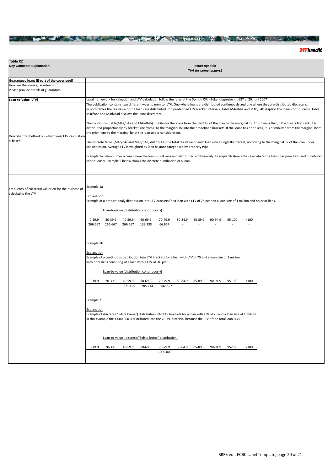# THE REPORT OF THE RESIDENCE OF A PROPERTY OF A PROPERTY OF A PROPERTY OF A PROPERTY OF A PROPERTY OF A PROPERTY OF A PROPERTY OF A PROPERTY OF A PROPERTY OF A PROPERTY OF A PROPERTY OF A PROPERTY OF A PROPERTY OF A PROPERT

**32Fkredit** 

| Table X2                                                                    |                                                                                                                                                                                                                                                                                                                                                                                                                                                                                                                                                                                                                                                                                                                                                                                                                                                                                                                                                                                          |
|-----------------------------------------------------------------------------|------------------------------------------------------------------------------------------------------------------------------------------------------------------------------------------------------------------------------------------------------------------------------------------------------------------------------------------------------------------------------------------------------------------------------------------------------------------------------------------------------------------------------------------------------------------------------------------------------------------------------------------------------------------------------------------------------------------------------------------------------------------------------------------------------------------------------------------------------------------------------------------------------------------------------------------------------------------------------------------|
| <b>Key Concepts Explanation</b>                                             | <b>Issuer specific</b><br>(N/A for some issuers)                                                                                                                                                                                                                                                                                                                                                                                                                                                                                                                                                                                                                                                                                                                                                                                                                                                                                                                                         |
|                                                                             |                                                                                                                                                                                                                                                                                                                                                                                                                                                                                                                                                                                                                                                                                                                                                                                                                                                                                                                                                                                          |
| Guaranteed loans (if part of the cover pool)                                |                                                                                                                                                                                                                                                                                                                                                                                                                                                                                                                                                                                                                                                                                                                                                                                                                                                                                                                                                                                          |
| How are the loans guaranteed?                                               |                                                                                                                                                                                                                                                                                                                                                                                                                                                                                                                                                                                                                                                                                                                                                                                                                                                                                                                                                                                          |
| Please provide details of guarantors                                        |                                                                                                                                                                                                                                                                                                                                                                                                                                                                                                                                                                                                                                                                                                                                                                                                                                                                                                                                                                                          |
| Loan-to-Value (LTV)                                                         | Legal framework for valuation and LTV-calculation follow the rules of the Danish FSA - Bekendtgørelse nr. 687 af 20. juni 2007                                                                                                                                                                                                                                                                                                                                                                                                                                                                                                                                                                                                                                                                                                                                                                                                                                                           |
| Describe the method on which your LTV calculation<br>is based               | The publication contains two different ways to monitor LTV. One where loans are distributed continuously and one where they are distributed discretely.<br>In both tables the fair value of the loans are distributed into predefined LTV bracket intervals. Table M4a/b4a and M4b/B4b displays the loans continuously. Table<br>M4c/B4c and M4d/B4d displays the loans discretely.<br>The continuous table(M4a/b4a and M4b/B4b) distributes the loans from the start Itv of the loan to the marginal Itv. This means that, if the loan is first rank, it is<br>distributed proportionaly by bracket size from 0 to the marginal Itv into the predefined brackets. If the loans has prior liens, it is distributed from the marginal Itv of<br>the prior liens to the marginal ltv of the loan under consideration.<br>The discrete table (M4c/b4c and M4d/B4d) distributes the total fair value of each loan into a single Itv bracket, according to the marginal Itv of the loan under |
|                                                                             | consideration. Average LTV is weighted by loan balance categorised by property type.<br>Example 1a below shows a case where the loan is first rank and distributed continuously. Example 1b shows the case where the loans has prior liens and distributed                                                                                                                                                                                                                                                                                                                                                                                                                                                                                                                                                                                                                                                                                                                               |
|                                                                             | continuously. Example 2 below shows the discrete distribution of a loan.                                                                                                                                                                                                                                                                                                                                                                                                                                                                                                                                                                                                                                                                                                                                                                                                                                                                                                                 |
| Frequency of collateral valuation for the purpose of<br>calculating the LTV | Example 1a<br><b>Explanation</b><br>Example of a proportionaly distribution into LTV brackets for a loan with LTV of 75 pct and a loan size of 1 million and no prior liens.                                                                                                                                                                                                                                                                                                                                                                                                                                                                                                                                                                                                                                                                                                                                                                                                             |
|                                                                             | Loan-to-value (distribution continuously)                                                                                                                                                                                                                                                                                                                                                                                                                                                                                                                                                                                                                                                                                                                                                                                                                                                                                                                                                |
|                                                                             | $0 - 19.9$<br>20-39.9<br>40-59.9<br>60-69.9<br>80-84.9<br>85-89.9<br>90-94.9<br>70-79.9<br>95-100<br>>100<br>266.667<br>266.667<br>133.333<br>266.667<br>66.667                                                                                                                                                                                                                                                                                                                                                                                                                                                                                                                                                                                                                                                                                                                                                                                                                          |
|                                                                             | Example 1b                                                                                                                                                                                                                                                                                                                                                                                                                                                                                                                                                                                                                                                                                                                                                                                                                                                                                                                                                                               |
|                                                                             | Explanation<br>Example of a continuous distribution into LTV brackets for a loan with LTV of 75 and a loan size of 1 million<br>with prior liens consisting of a loan with a LTV of 40 pct.                                                                                                                                                                                                                                                                                                                                                                                                                                                                                                                                                                                                                                                                                                                                                                                              |
|                                                                             | Loan-to-value (distribution continuously)                                                                                                                                                                                                                                                                                                                                                                                                                                                                                                                                                                                                                                                                                                                                                                                                                                                                                                                                                |
|                                                                             | $0 - 19.9$<br>40-59.9<br>20-39.9<br>60-69.9<br>70-79.9<br>80-84.9<br>85-89.9<br>90-94.9<br>95-100<br>>100<br>285.714<br>571.429<br>142.857                                                                                                                                                                                                                                                                                                                                                                                                                                                                                                                                                                                                                                                                                                                                                                                                                                               |
|                                                                             | Example 2                                                                                                                                                                                                                                                                                                                                                                                                                                                                                                                                                                                                                                                                                                                                                                                                                                                                                                                                                                                |
|                                                                             | Explanation<br>Example of discrete ("Sidste krone") distribution into LTV brackets for a loan with LTV of 75 and a loan size of 1 million<br>In this example the 1.000.000 is distributed into the 70-79.9 interval because the LTV of the total loan is 75                                                                                                                                                                                                                                                                                                                                                                                                                                                                                                                                                                                                                                                                                                                              |
|                                                                             | Loan-to-value (discrete/"Sidste krone" distribution)                                                                                                                                                                                                                                                                                                                                                                                                                                                                                                                                                                                                                                                                                                                                                                                                                                                                                                                                     |
|                                                                             | $0 - 19.9$<br>20-39.9<br>40-59.9<br>60-69.9<br>70-79.9<br>80-84.9<br>85-89.9<br>90-94.9<br>95-100<br>>100<br>1.000.000<br>÷,<br>÷.<br>$\overline{a}$                                                                                                                                                                                                                                                                                                                                                                                                                                                                                                                                                                                                                                                                                                                                                                                                                                     |
|                                                                             |                                                                                                                                                                                                                                                                                                                                                                                                                                                                                                                                                                                                                                                                                                                                                                                                                                                                                                                                                                                          |

 $\overline{\phantom{a}}$